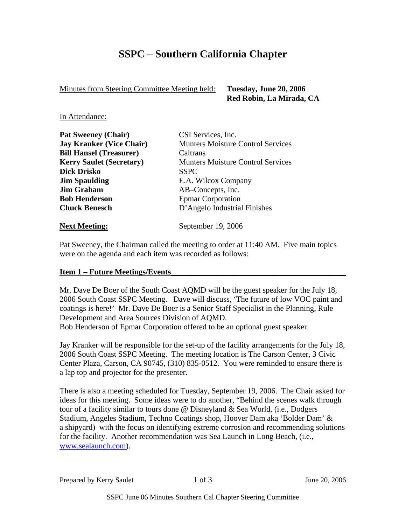## **SSPC – Southern California Chapter**

Minutes from Steering Committee Meeting held: **Tuesday, June 20, 2006** 

 **Red Robin, La Mirada, CA** 

In Attendance:

| <b>Pat Sweeney (Chair)</b>      | CSI Services, Inc.                       |  |
|---------------------------------|------------------------------------------|--|
| <b>Jay Kranker (Vice Chair)</b> | <b>Munters Moisture Control Services</b> |  |
| <b>Bill Hansel (Treasurer)</b>  | Caltrans                                 |  |
| <b>Kerry Saulet (Secretary)</b> | <b>Munters Moisture Control Services</b> |  |
| <b>Dick Drisko</b>              | <b>SSPC</b>                              |  |
| <b>Jim Spaulding</b>            | E.A. Wilcox Company                      |  |
| <b>Jim Graham</b>               | AB-Concepts, Inc.                        |  |
| <b>Bob Henderson</b>            | <b>Epmar Corporation</b>                 |  |
| <b>Chuck Benesch</b>            | D'Angelo Industrial Finishes             |  |
| <b>Next Meeting:</b>            | September 19, 2006                       |  |

Pat Sweeney, the Chairman called the meeting to order at 11:40 AM. Five main topics were on the agenda and each item was recorded as follows:

### **Item 1 – Future Meetings/Events\_\_\_\_\_\_\_\_\_\_\_\_\_\_\_\_\_\_\_\_\_\_\_\_\_\_\_\_\_\_\_\_\_\_\_\_\_\_\_\_\_\_\_\_**

Mr. Dave De Boer of the South Coast AQMD will be the guest speaker for the July 18, 2006 South Coast SSPC Meeting. Dave will discuss, 'The future of low VOC paint and coatings is here!' Mr. Dave De Boer is a Senior Staff Specialist in the Planning, Rule Development and Area Sources Division of AQMD. Bob Henderson of Epmar Corporation offered to be an optional guest speaker.

Jay Kranker will be responsible for the set-up of the facility arrangements for the July 18, 2006 South Coast SSPC Meeting. The meeting location is The Carson Center, 3 Civic Center Plaza, Carson, CA 90745, (310) 835-0512. You were reminded to ensure there is a lap top and projector for the presenter.

There is also a meeting scheduled for Tuesday, September 19, 2006. The Chair asked for ideas for this meeting. Some ideas were to do another, "Behind the scenes walk through tour of a facility similar to tours done @ Disneyland & Sea World, (i.e., Dodgers Stadium, Angeles Stadium, Techno Coatings shop, Hoover Dam aka 'Bolder Dam' & a shipyard) with the focus on identifying extreme corrosion and recommending solutions for the facility. Another recommendation was Sea Launch in Long Beach, (i.e., www.sealaunch.com).

Prepared by Kerry Saulet 1 of 3 June 20, 2006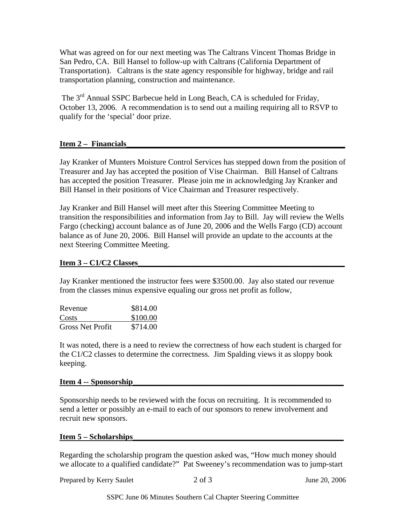What was agreed on for our next meeting was The Caltrans Vincent Thomas Bridge in San Pedro, CA. Bill Hansel to follow-up with Caltrans (California Department of Transportation). Caltrans is the state agency responsible for highway, bridge and rail transportation planning, construction and maintenance.

The 3<sup>rd</sup> Annual SSPC Barbecue held in Long Beach, CA is scheduled for Friday, October 13, 2006. A recommendation is to send out a mailing requiring all to RSVP to qualify for the 'special' door prize.

## Item 2 – Financials

Jay Kranker of Munters Moisture Control Services has stepped down from the position of Treasurer and Jay has accepted the position of Vise Chairman. Bill Hansel of Caltrans has accepted the position Treasurer. Please join me in acknowledging Jay Kranker and Bill Hansel in their positions of Vice Chairman and Treasurer respectively.

Jay Kranker and Bill Hansel will meet after this Steering Committee Meeting to transition the responsibilities and information from Jay to Bill. Jay will review the Wells Fargo (checking) account balance as of June 20, 2006 and the Wells Fargo (CD) account balance as of June 20, 2006. Bill Hansel will provide an update to the accounts at the next Steering Committee Meeting.

### **Item 3 – C1/C2 Classes**

Jay Kranker mentioned the instructor fees were \$3500.00. Jay also stated our revenue from the classes minus expensive equaling our gross net profit as follow,

| Revenue                 | \$814.00 |
|-------------------------|----------|
| Costs                   | \$100.00 |
| <b>Gross Net Profit</b> | \$714.00 |

It was noted, there is a need to review the correctness of how each student is charged for the C1/C2 classes to determine the correctness. Jim Spalding views it as sloppy book keeping.

#### **Item 4 -- Sponsorship\_\_\_\_\_\_\_\_\_\_\_\_\_\_\_\_\_\_\_\_\_\_\_\_\_\_\_\_\_\_\_\_\_\_\_\_\_\_\_\_\_\_\_\_\_\_\_\_\_\_\_\_\_**

Sponsorship needs to be reviewed with the focus on recruiting. It is recommended to send a letter or possibly an e-mail to each of our sponsors to renew involvement and recruit new sponsors.

#### **Item 5 – Scholarships\_\_\_\_\_\_\_\_\_\_\_\_\_\_\_\_\_\_\_\_\_\_\_\_\_\_\_\_\_\_\_\_\_\_\_\_\_\_\_\_\_\_\_\_\_\_\_\_\_\_\_\_\_**

Regarding the scholarship program the question asked was, "How much money should we allocate to a qualified candidate?" Pat Sweeney's recommendation was to jump-start

Prepared by Kerry Saulet 2 of 3 June 20, 2006